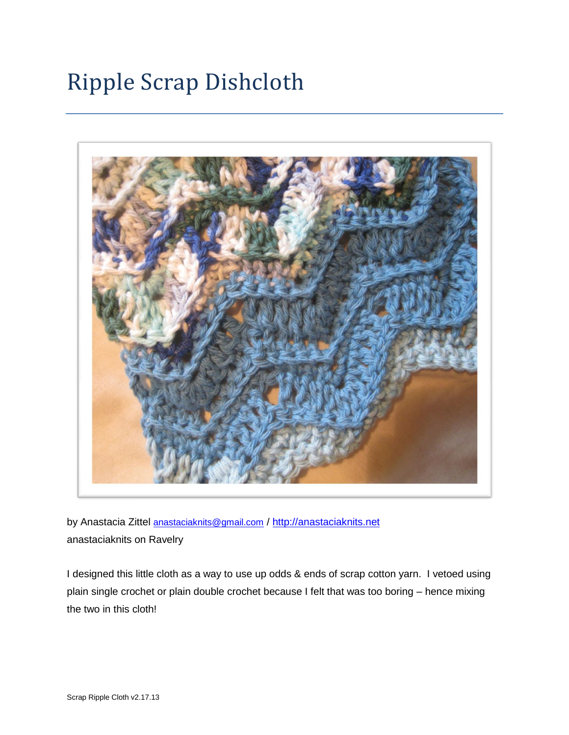# Ripple Scrap Dishcloth



by Anastacia Zittel [anastaciaknits@gmail.com](mailto:anastaciaknits@gmail.com) / [http://anastaciaknits.net](http://anastaciaknits.net/) anastaciaknits on Ravelry

I designed this little cloth as a way to use up odds & ends of scrap cotton yarn. I vetoed using plain single crochet or plain double crochet because I felt that was too boring – hence mixing the two in this cloth!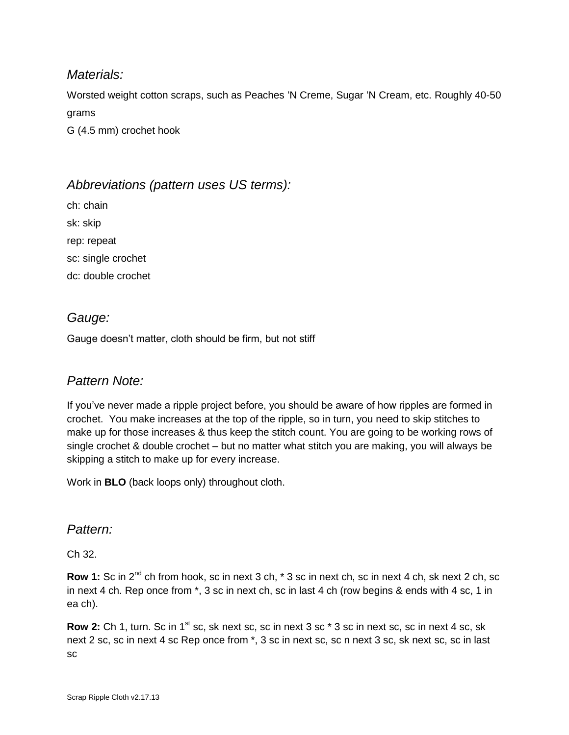## *Materials:*

Worsted weight cotton scraps, such as Peaches 'N Creme, Sugar 'N Cream, etc. Roughly 40-50 grams

G (4.5 mm) crochet hook

## *Abbreviations (pattern uses US terms):*

ch: chain sk: skip rep: repeat sc: single crochet dc: double crochet

## *Gauge:*

Gauge doesn't matter, cloth should be firm, but not stiff

#### *Pattern Note:*

If you've never made a ripple project before, you should be aware of how ripples are formed in crochet. You make increases at the top of the ripple, so in turn, you need to skip stitches to make up for those increases & thus keep the stitch count. You are going to be working rows of single crochet & double crochet – but no matter what stitch you are making, you will always be skipping a stitch to make up for every increase.

Work in **BLO** (back loops only) throughout cloth.

#### *Pattern:*

Ch 32.

**Row 1:** Sc in 2<sup>nd</sup> ch from hook, sc in next 3 ch, \* 3 sc in next ch, sc in next 4 ch, sk next 2 ch, sc in next 4 ch. Rep once from \*, 3 sc in next ch, sc in last 4 ch (row begins & ends with 4 sc, 1 in ea ch).

**Row 2:** Ch 1, turn. Sc in 1<sup>st</sup> sc, sk next sc, sc in next 3 sc  $*$  3 sc in next sc, sc in next 4 sc, sk next 2 sc, sc in next 4 sc Rep once from \*, 3 sc in next sc, sc n next 3 sc, sk next sc, sc in last sc